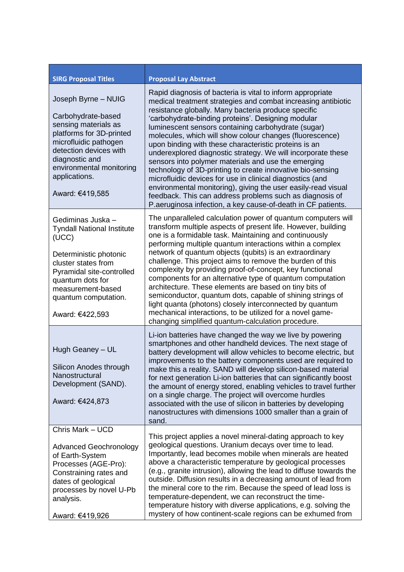| <b>SIRG Proposal Titles</b>                                                                                                                                                                                                        | <b>Proposal Lay Abstract</b>                                                                                                                                                                                                                                                                                                                                                                                                                                                                                                                                                                                                                                                                                                                                                                                                                                        |
|------------------------------------------------------------------------------------------------------------------------------------------------------------------------------------------------------------------------------------|---------------------------------------------------------------------------------------------------------------------------------------------------------------------------------------------------------------------------------------------------------------------------------------------------------------------------------------------------------------------------------------------------------------------------------------------------------------------------------------------------------------------------------------------------------------------------------------------------------------------------------------------------------------------------------------------------------------------------------------------------------------------------------------------------------------------------------------------------------------------|
| Joseph Byrne - NUIG<br>Carbohydrate-based<br>sensing materials as<br>platforms for 3D-printed<br>microfluidic pathogen<br>detection devices with<br>diagnostic and<br>environmental monitoring<br>applications.<br>Award: €419,585 | Rapid diagnosis of bacteria is vital to inform appropriate<br>medical treatment strategies and combat increasing antibiotic<br>resistance globally. Many bacteria produce specific<br>'carbohydrate-binding proteins'. Designing modular<br>luminescent sensors containing carbohydrate (sugar)<br>molecules, which will show colour changes (fluorescence)<br>upon binding with these characteristic proteins is an<br>underexplored diagnostic strategy. We will incorporate these<br>sensors into polymer materials and use the emerging<br>technology of 3D-printing to create innovative bio-sensing<br>microfluidic devices for use in clinical diagnostics (and<br>environmental monitoring), giving the user easily-read visual<br>feedback. This can address problems such as diagnosis of<br>P.aeruginosa infection, a key cause-of-death in CF patients. |
| Gediminas Juska -<br><b>Tyndall National Institute</b><br>(UCC)<br>Deterministic photonic<br>cluster states from<br>Pyramidal site-controlled<br>quantum dots for<br>measurement-based<br>quantum computation.<br>Award: €422,593  | The unparalleled calculation power of quantum computers will<br>transform multiple aspects of present life. However, building<br>one is a formidable task. Maintaining and continuously<br>performing multiple quantum interactions within a complex<br>network of quantum objects (qubits) is an extraordinary<br>challenge. This project aims to remove the burden of this<br>complexity by providing proof-of-concept, key functional<br>components for an alternative type of quantum computation<br>architecture. These elements are based on tiny bits of<br>semiconductor, quantum dots, capable of shining strings of<br>light quanta (photons) closely interconnected by quantum<br>mechanical interactions, to be utilized for a novel game-<br>changing simplified quantum-calculation procedure.                                                        |
| Hugh Geaney - UL<br>Silicon Anodes through<br>Nanostructural<br>Development (SAND).<br>Award: €424,873                                                                                                                             | Li-ion batteries have changed the way we live by powering<br>smartphones and other handheld devices. The next stage of<br>battery development will allow vehicles to become electric, but<br>improvements to the battery components used are required to<br>make this a reality. SAND will develop silicon-based material<br>for next generation Li-ion batteries that can significantly boost<br>the amount of energy stored, enabling vehicles to travel further<br>on a single charge. The project will overcome hurdles<br>associated with the use of silicon in batteries by developing<br>nanostructures with dimensions 1000 smaller than a grain of<br>sand.                                                                                                                                                                                                |
| Chris Mark - UCD<br><b>Advanced Geochronology</b><br>of Earth-System<br>Processes (AGE-Pro):<br>Constraining rates and<br>dates of geological<br>processes by novel U-Pb<br>analysis.<br>Award: €419,926                           | This project applies a novel mineral-dating approach to key<br>geological questions. Uranium decays over time to lead.<br>Importantly, lead becomes mobile when minerals are heated<br>above a characteristic temperature by geological processes<br>(e.g., granite intrusion), allowing the lead to diffuse towards the<br>outside. Diffusion results in a decreasing amount of lead from<br>the mineral core to the rim. Because the speed of lead loss is<br>temperature-dependent, we can reconstruct the time-<br>temperature history with diverse applications, e.g. solving the<br>mystery of how continent-scale regions can be exhumed from                                                                                                                                                                                                                |

Ĭ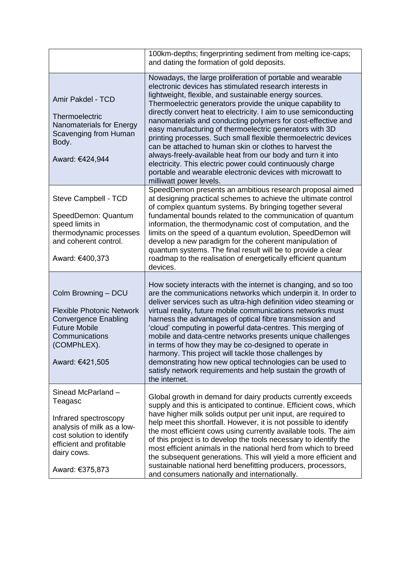|                                                                                                                                                                                | 100km-depths; fingerprinting sediment from melting ice-caps;<br>and dating the formation of gold deposits.                                                                                                                                                                                                                                                                                                                                                                                                                                                                                                                                                                                                                                                                                       |
|--------------------------------------------------------------------------------------------------------------------------------------------------------------------------------|--------------------------------------------------------------------------------------------------------------------------------------------------------------------------------------------------------------------------------------------------------------------------------------------------------------------------------------------------------------------------------------------------------------------------------------------------------------------------------------------------------------------------------------------------------------------------------------------------------------------------------------------------------------------------------------------------------------------------------------------------------------------------------------------------|
| Amir Pakdel - TCD<br>Thermoelectric<br>Nanomaterials for Energy<br>Scavenging from Human<br>Body.<br>Award: €424,944                                                           | Nowadays, the large proliferation of portable and wearable<br>electronic devices has stimulated research interests in<br>lightweight, flexible, and sustainable energy sources.<br>Thermoelectric generators provide the unique capability to<br>directly convert heat to electricity. I aim to use semiconducting<br>nanomaterials and conducting polymers for cost-effective and<br>easy manufacturing of thermoelectric generators with 3D<br>printing processes. Such small flexible thermoelectric devices<br>can be attached to human skin or clothes to harvest the<br>always-freely-available heat from our body and turn it into<br>electricity. This electric power could continuously charge<br>portable and wearable electronic devices with microwatt to<br>milliwatt power levels. |
| Steve Campbell - TCD<br>SpeedDemon: Quantum<br>speed limits in<br>thermodynamic processes<br>and coherent control.<br>Award: €400,373                                          | SpeedDemon presents an ambitious research proposal aimed<br>at designing practical schemes to achieve the ultimate control<br>of complex quantum systems. By bringing together several<br>fundamental bounds related to the communication of quantum<br>information, the thermodynamic cost of computation, and the<br>limits on the speed of a quantum evolution, SpeedDemon will<br>develop a new paradigm for the coherent manipulation of<br>quantum systems. The final result will be to provide a clear<br>roadmap to the realisation of energetically efficient quantum<br>devices.                                                                                                                                                                                                       |
| Colm Browning - DCU<br><b>Flexible Photonic Network</b><br><b>Convergence Enabling</b><br><b>Future Mobile</b><br>Communications<br>(COMPhLEX).<br>Award: €421,505             | How society interacts with the internet is changing, and so too<br>are the communications networks which underpin it. In order to<br>deliver services such as ultra-high definition video steaming or<br>virtual reality, future mobile communications networks must<br>harness the advantages of optical fibre transmission and<br>'cloud' computing in powerful data-centres. This merging of<br>mobile and data-centre networks presents unique challenges<br>in terms of how they may be co-designed to operate in<br>harmony. This project will tackle those challenges by<br>demonstrating how new optical technologies can be used to<br>satisfy network requirements and help sustain the growth of<br>the internet.                                                                     |
| Sinead McParland-<br>Teagasc<br>Infrared spectroscopy<br>analysis of milk as a low-<br>cost solution to identify<br>efficient and profitable<br>dairy cows.<br>Award: €375,873 | Global growth in demand for dairy products currently exceeds<br>supply and this is anticipated to continue. Efficient cows, which<br>have higher milk solids output per unit input, are required to<br>help meet this shortfall. However, it is not possible to identify<br>the most efficient cows using currently available tools. The aim<br>of this project is to develop the tools necessary to identify the<br>most efficient animals in the national herd from which to breed<br>the subsequent generations. This will yield a more efficient and<br>sustainable national herd benefitting producers, processors,<br>and consumers nationally and internationally.                                                                                                                        |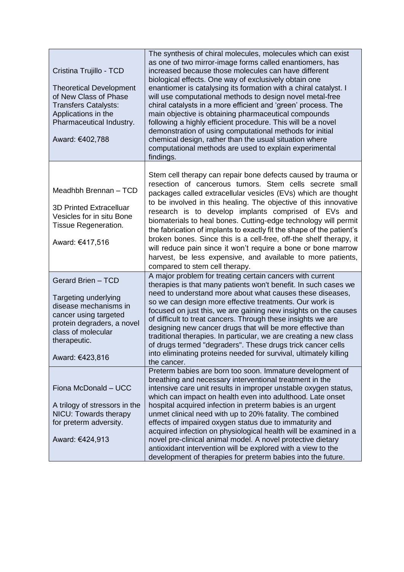| Cristina Trujillo - TCD<br><b>Theoretical Development</b><br>of New Class of Phase<br><b>Transfers Catalysts:</b><br>Applications in the<br>Pharmaceutical Industry.<br>Award: €402,788 | The synthesis of chiral molecules, molecules which can exist<br>as one of two mirror-image forms called enantiomers, has<br>increased because those molecules can have different<br>biological effects. One way of exclusively obtain one<br>enantiomer is catalysing its formation with a chiral catalyst. I<br>will use computational methods to design novel metal-free<br>chiral catalysts in a more efficient and 'green' process. The<br>main objective is obtaining pharmaceutical compounds<br>following a highly efficient procedure. This will be a novel<br>demonstration of using computational methods for initial<br>chemical design, rather than the usual situation where<br>computational methods are used to explain experimental<br>findings. |
|-----------------------------------------------------------------------------------------------------------------------------------------------------------------------------------------|------------------------------------------------------------------------------------------------------------------------------------------------------------------------------------------------------------------------------------------------------------------------------------------------------------------------------------------------------------------------------------------------------------------------------------------------------------------------------------------------------------------------------------------------------------------------------------------------------------------------------------------------------------------------------------------------------------------------------------------------------------------|
| Meadhbh Brennan - TCD<br><b>3D Printed Extracelluar</b><br>Vesicles for in situ Bone<br>Tissue Regeneration.<br>Award: €417,516                                                         | Stem cell therapy can repair bone defects caused by trauma or<br>resection of cancerous tumors. Stem cells secrete small<br>packages called extracellular vesicles (EVs) which are thought<br>to be involved in this healing. The objective of this innovative<br>research is to develop implants comprised of EVs and<br>biomaterials to heal bones. Cutting-edge technology will permit<br>the fabrication of implants to exactly fit the shape of the patient's<br>broken bones. Since this is a cell-free, off-the shelf therapy, it<br>will reduce pain since it won't require a bone or bone marrow<br>harvest, be less expensive, and available to more patients,<br>compared to stem cell therapy.                                                       |
| Gerard Brien - TCD<br>Targeting underlying<br>disease mechanisms in<br>cancer using targeted<br>protein degraders, a novel<br>class of molecular<br>therapeutic.<br>Award: €423,816     | A major problem for treating certain cancers with current<br>therapies is that many patients won't benefit. In such cases we<br>need to understand more about what causes these diseases,<br>so we can design more effective treatments. Our work is<br>focused on just this, we are gaining new insights on the causes<br>of difficult to treat cancers. Through these insights we are<br>designing new cancer drugs that will be more effective than<br>traditional therapies. In particular, we are creating a new class<br>of drugs termed "degraders". These drugs trick cancer cells<br>into eliminating proteins needed for survival, ultimately killing<br>the cancer.                                                                                   |
| Fiona McDonald - UCC<br>A trilogy of stressors in the<br>NICU: Towards therapy<br>for preterm adversity.<br>Award: €424,913                                                             | Preterm babies are born too soon. Immature development of<br>breathing and necessary interventional treatment in the<br>intensive care unit results in improper unstable oxygen status,<br>which can impact on health even into adulthood. Late onset<br>hospital acquired infection in preterm babies is an urgent<br>unmet clinical need with up to 20% fatality. The combined<br>effects of impaired oxygen status due to immaturity and<br>acquired infection on physiological health will be examined in a<br>novel pre-clinical animal model. A novel protective dietary<br>antioxidant intervention will be explored with a view to the<br>development of therapies for preterm babies into the future.                                                   |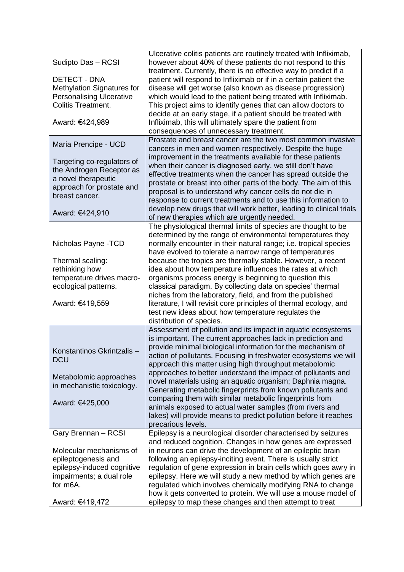| Sudipto Das - RCSI<br><b>DETECT - DNA</b><br>Methylation Signatures for<br><b>Personalising Ulcerative</b><br><b>Colitis Treatment.</b><br>Award: €424,989              | Ulcerative colitis patients are routinely treated with Infliximab,<br>however about 40% of these patients do not respond to this<br>treatment. Currently, there is no effective way to predict if a<br>patient will respond to Infliximab or if in a certain patient the<br>disease will get worse (also known as disease progression)<br>which would lead to the patient being treated with Infliximab.<br>This project aims to identify genes that can allow doctors to<br>decide at an early stage, if a patient should be treated with<br>Infliximab, this will ultimately spare the patient from<br>consequences of unnecessary treatment.                                                                                      |
|-------------------------------------------------------------------------------------------------------------------------------------------------------------------------|--------------------------------------------------------------------------------------------------------------------------------------------------------------------------------------------------------------------------------------------------------------------------------------------------------------------------------------------------------------------------------------------------------------------------------------------------------------------------------------------------------------------------------------------------------------------------------------------------------------------------------------------------------------------------------------------------------------------------------------|
| Maria Prencipe - UCD<br>Targeting co-regulators of<br>the Androgen Receptor as<br>a novel therapeutic<br>approach for prostate and<br>breast cancer.<br>Award: €424,910 | Prostate and breast cancer are the two most common invasive<br>cancers in men and women respectively. Despite the huge<br>improvement in the treatments available for these patients<br>when their cancer is diagnosed early, we still don't have<br>effective treatments when the cancer has spread outside the<br>prostate or breast into other parts of the body. The aim of this<br>proposal is to understand why cancer cells do not die in<br>response to current treatments and to use this information to<br>develop new drugs that will work better, leading to clinical trials<br>of new therapies which are urgently needed.                                                                                              |
| Nicholas Payne - TCD<br>Thermal scaling:<br>rethinking how<br>temperature drives macro-<br>ecological patterns.<br>Award: €419,559                                      | The physiological thermal limits of species are thought to be<br>determined by the range of environmental temperatures they<br>normally encounter in their natural range; i.e. tropical species<br>have evolved to tolerate a narrow range of temperatures<br>because the tropics are thermally stable. However, a recent<br>idea about how temperature influences the rates at which<br>organisms process energy is beginning to question this<br>classical paradigm. By collecting data on species' thermal<br>niches from the laboratory, field, and from the published<br>literature, I will revisit core principles of thermal ecology, and<br>test new ideas about how temperature regulates the<br>distribution of species.   |
| Konstantinos Gkrintzalis-<br><b>DCU</b><br>Metabolomic approaches<br>in mechanistic toxicology.<br>Award: €425,000                                                      | Assessment of pollution and its impact in aquatic ecosystems<br>is important. The current approaches lack in prediction and<br>provide minimal biological information for the mechanism of<br>action of pollutants. Focusing in freshwater ecosystems we will<br>approach this matter using high throughput metabolomic<br>approaches to better understand the impact of pollutants and<br>novel materials using an aquatic organism; Daphnia magna.<br>Generating metabolic fingerprints from known pollutants and<br>comparing them with similar metabolic fingerprints from<br>animals exposed to actual water samples (from rivers and<br>lakes) will provide means to predict pollution before it reaches<br>precarious levels. |
| Gary Brennan - RCSI<br>Molecular mechanisms of<br>epileptogenesis and<br>epilepsy-induced cognitive<br>impairments; a dual role<br>for m6A.<br>Award: €419,472          | Epilepsy is a neurological disorder characterised by seizures<br>and reduced cognition. Changes in how genes are expressed<br>in neurons can drive the development of an epileptic brain<br>following an epilepsy-inciting event. There is usually strict<br>regulation of gene expression in brain cells which goes awry in<br>epilepsy. Here we will study a new method by which genes are<br>regulated which involves chemically modifying RNA to change<br>how it gets converted to protein. We will use a mouse model of<br>epilepsy to map these changes and then attempt to treat                                                                                                                                             |